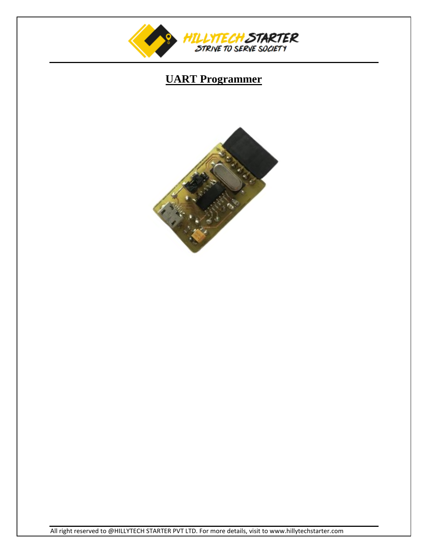

## **UART Programmer**



All right reserved to @HILLYTECH STARTER PVT LTD. For more details, visit to www.hillytechstarter.com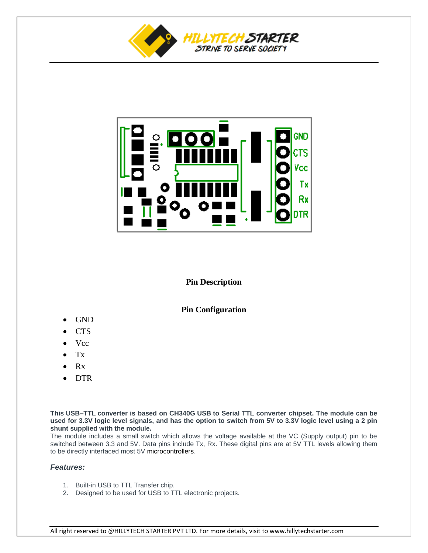



## **Pin Description**

## **Pin Configuration**

- GND
- **CTS**
- Vcc
- Tx
- Rx
- **DTR**

**This USB–TTL converter is based on CH340G USB to Serial TTL converter chipset. The module can be used for 3.3V logic level signals, and has the option to switch from 5V to 3.3V logic level using a 2 pin shunt supplied with the module.**

The module includes a small switch which allows the voltage available at the VC (Supply output) pin to be switched between 3.3 and 5V. Data pins include Tx, Rx. These digital pins are at 5V TTL levels allowing them to be directly interfaced most 5V microcontrollers.

## *Features:*

- 1. Built-in USB to TTL Transfer chip.
- 2. Designed to be used for USB to TTL electronic projects.